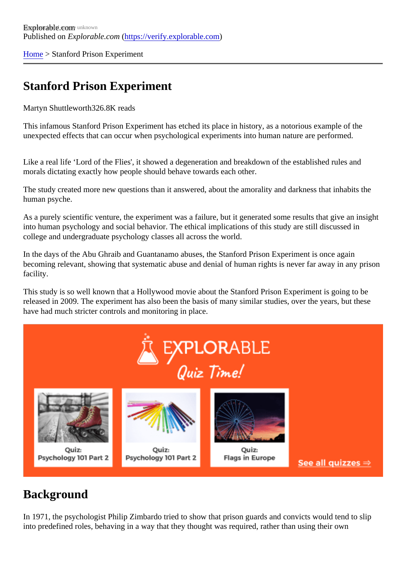[Home](https://verify.explorable.com/)> Stanford Prison Experiment

## Stanford Prison Experiment

Martyn Shuttlewort<sup>826.8K</sup> reads

This infamous Stanford Prison Experiment has etched its place in history, as a notorious example of the unexpected effects that can occur when psychological experiments into human nature are performed.

Like a real life 'Lord of the Flies', it showed a degeneration and breakdown of the established rules and morals dictating exactly how people should behave towards each other.

The study created more new questions than it answered, about the amorality and darkness that inhabits the human psyche.

As a purely scientific venture, the experiment was a failure, but it generated some results that give an insig into human psychology and social behavior. The ethical implications of this study are still discussed in college and undergraduate psychology classes all across the world.

In the days of the Abu Ghraib and Guantanamo abuses, the Stanford Prison Experiment is once again becoming relevant, showing that systematic abuse and denial of human rights is never far away in any prison facility.

This study is so well known that a Hollywood movie about the Stanford Prison Experiment is going to be released in 2009. The experiment has also been the basis of many similar studies, over the years, but the have had much stricter controls and monitoring in place.

### **Background**

In 1971, the psychologist Philip Zimbardo tried to show that prison guards and convicts would tend to slip into predefined roles, behaving in a way that they thought was required, rather than using their own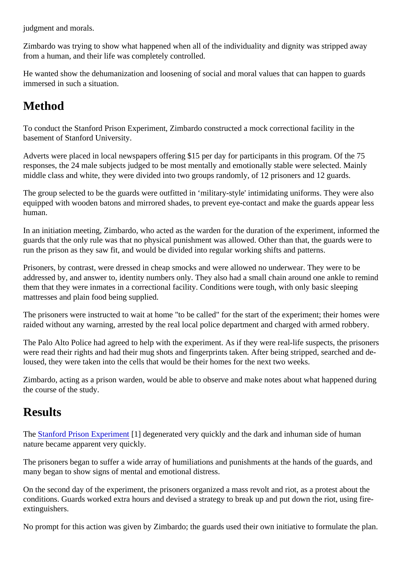judgment and morals.

Zimbardo was trying to show what happened when all of the individuality and dignity was stripped away from a human, and their life was completely controlled.

He wanted show the dehumanization and loosening of social and moral values that can happen to guards immersed in such a situation.

# Method

To conduct the Stanford Prison Experiment, Zimbardo constructed a mock correctional facility in the basement of Stanford University.

Adverts were placed in local newspapers offering \$15 per day for participants in this program. Of the 75 responses, the 24 male subjects judged to be most mentally and emotionally stable were selected. Mainly middle class and white, they were divided into two groups randomly, of 12 prisoners and 12 guards.

The group selected to be the guards were outfitted in 'military-style' intimidating uniforms. They were also equipped with wooden batons and mirrored shades, to prevent eye-contact and make the guards appear I human.

In an initiation meeting, Zimbardo, who acted as the warden for the duration of the experiment, informed the guards that the only rule was that no physical punishment was allowed. Other than that, the guards were to run the prison as they saw fit, and would be divided into regular working shifts and patterns.

Prisoners, by contrast, were dressed in cheap smocks and were allowed no underwear. They were to be addressed by, and answer to, identity numbers only. They also had a small chain around one ankle to rem them that they were inmates in a correctional facility. Conditions were tough, with only basic sleeping mattresses and plain food being supplied.

The prisoners were instructed to wait at home "to be called" for the start of the experiment; their homes were raided without any warning, arrested by the real local police department and charged with armed robbery.

The Palo Alto Police had agreed to help with the experiment. As if they were real-life suspects, the prisone were read their rights and had their mug shots and fingerprints taken. After being stripped, searched and deloused, they were taken into the cells that would be their homes for the next two weeks.

Zimbardo, acting as a prison warden, would be able to observe and make notes about what happened dui the course of the study.

### **Results**

The [Stanford Prison Experime](http://www.prisonexp.org/)nt] degenerated very quickly and the dark and inhuman side of human nature became apparent very quickly.

The prisoners began to suffer a wide array of humiliations and punishments at the hands of the guards, are many began to show signs of mental and emotional distress.

On the second day of the experiment, the prisoners organized a mass revolt and riot, as a protest about the conditions. Guards worked extra hours and devised a strategy to break up and put down the riot, using fireextinguishers.

No prompt for this action was given by Zimbardo; the guards used their own initiative to formulate the plan.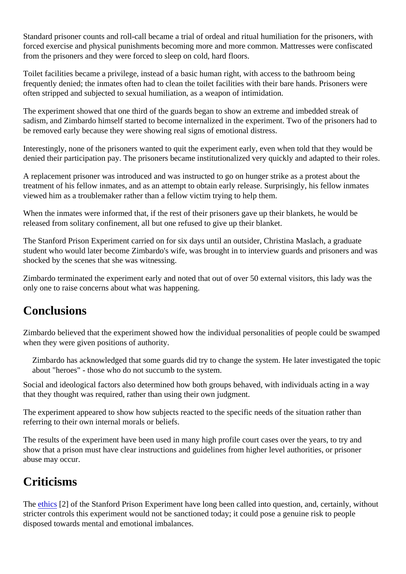Standard prisoner counts and roll-call became a trial of ordeal and ritual humiliation for the prisoners, with forced exercise and physical punishments becoming more and more common. Mattresses were confiscate from the prisoners and they were forced to sleep on cold, hard floors.

Toilet facilities became a privilege, instead of a basic human right, with access to the bathroom being frequently denied; the inmates often had to clean the toilet facilities with their bare hands. Prisoners were often stripped and subjected to sexual humiliation, as a weapon of intimidation.

The experiment showed that one third of the guards began to show an extreme and imbedded streak of sadism, and Zimbardo himself started to become internalized in the experiment. Two of the prisoners had be removed early because they were showing real signs of emotional distress.

Interestingly, none of the prisoners wanted to quit the experiment early, even when told that they would be denied their participation pay. The prisoners became institutionalized very quickly and adapted to their role

A replacement prisoner was introduced and was instructed to go on hunger strike as a protest about the treatment of his fellow inmates, and as an attempt to obtain early release. Surprisingly, his fellow inmates viewed him as a troublemaker rather than a fellow victim trying to help them.

When the inmates were informed that, if the rest of their prisoners gave up their blankets, he would be released from solitary confinement, all but one refused to give up their blanket.

The Stanford Prison Experiment carried on for six days until an outsider, Christina Maslach, a graduate student who would later become Zimbardo's wife, was brought in to interview guards and prisoners and was shocked by the scenes that she was witnessing.

Zimbardo terminated the experiment early and noted that out of over 50 external visitors, this lady was the only one to raise concerns about what was happening.

#### **Conclusions**

Zimbardo believed that the experiment showed how the individual personalities of people could be swamp when they were given positions of authority.

Zimbardo has acknowledged that some guards did try to change the system. He later investigated the to about "heroes" - those who do not succumb to the system.

Social and ideological factors also determined how both groups behaved, with individuals acting in a way that they thought was required, rather than using their own judgment.

The experiment appeared to show how subjects reacted to the specific needs of the situation rather than referring to their own internal morals or beliefs.

The results of the experiment have been used in many high profile court cases over the years, to try and show that a prison must have clear instructions and guidelines from higher level authorities, or prisoner abuse may occur.

### **Criticisms**

The [ethics](https://verify.explorable.com/ethics-in-research)<sup>[2]</sup> of the Stanford Prison Experiment have long been called into question, and, certainly, without stricter controls this experiment would not be sanctioned today; it could pose a genuine risk to people disposed towards mental and emotional imbalances.